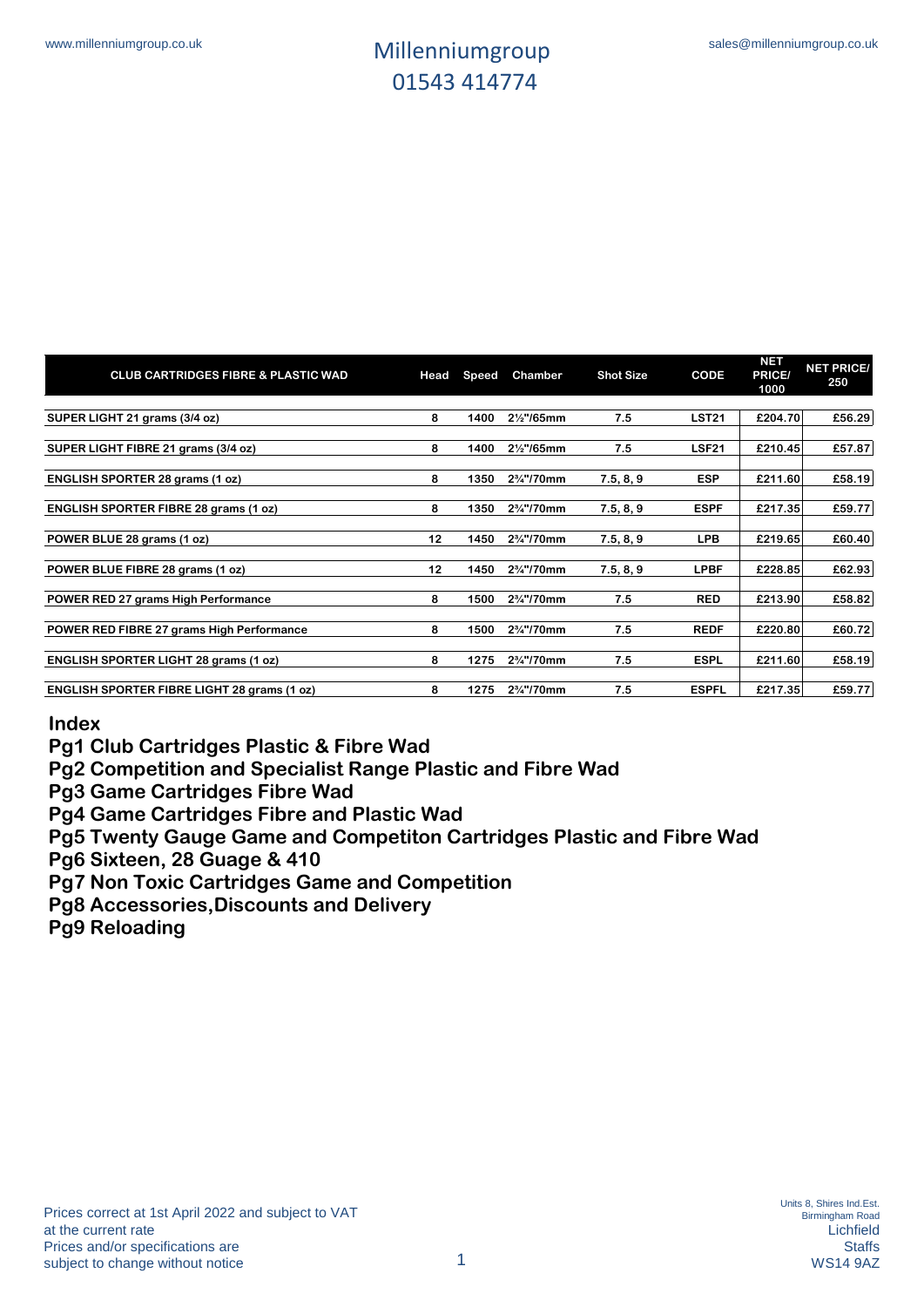| <b>CLUB CARTRIDGES FIBRE &amp; PLASTIC WAD</b>     | Head | Speed | <b>Chamber</b>                       | <b>Shot Size</b> | CODE         | <b>NET</b><br>PRICE/<br>1000 | <b>NET PRICE/</b><br>250 |
|----------------------------------------------------|------|-------|--------------------------------------|------------------|--------------|------------------------------|--------------------------|
| SUPER LIGHT 21 grams (3/4 oz)                      | 8    | 1400  | 21/ <sub>2</sub> "/65mm              | 7.5              | <b>LST21</b> | £204.70                      | £56.29                   |
|                                                    |      |       |                                      |                  |              |                              |                          |
| SUPER LIGHT FIBRE 21 grams (3/4 oz)                | 8    | 1400  | 21/ <sub>2</sub> "/65mm              | 7.5              | <b>LSF21</b> | £210.45                      | £57.87                   |
| ENGLISH SPORTER 28 grams (1 oz)                    | 8    | 1350  | 2 <sup>3</sup> / <sub>4</sub> "/70mm | 7.5, 8, 9        | <b>ESP</b>   | £211.60                      | £58.19                   |
| <b>ENGLISH SPORTER FIBRE 28 grams (1 oz)</b>       | 8    | 1350  | 2%"/70mm                             | 7.5, 8, 9        | <b>ESPF</b>  | £217.35                      | £59.77                   |
| POWER BLUE 28 grams (1 oz)                         | 12   | 1450  | 2%"/70mm                             | 7.5, 8, 9        | <b>LPB</b>   | £219.65                      | £60.40                   |
| POWER BLUE FIBRE 28 grams (1 oz)                   | 12   | 1450  | 2 <sup>3</sup> / <sub>4</sub> "/70mm | 7.5, 8, 9        | <b>LPBF</b>  | £228.85                      | £62.93                   |
| POWER RED 27 grams High Performance                | 8    | 1500  | 2 <sup>3</sup> / <sub>4</sub> "/70mm | 7.5              | <b>RED</b>   | £213.90                      | £58.82                   |
| POWER RED FIBRE 27 grams High Performance          | 8    | 1500  | 2 <sup>3</sup> / <sub>4</sub> "/70mm | 7.5              | <b>REDF</b>  | £220.80                      | £60.72                   |
| <b>ENGLISH SPORTER LIGHT 28 grams (1 oz)</b>       | 8    | 1275  | 2%"/70mm                             | 7.5              | <b>ESPL</b>  | £211.60                      | £58.19                   |
| <b>ENGLISH SPORTER FIBRE LIGHT 28 grams (1 oz)</b> | 8    | 1275  | 2 <sup>3</sup> / <sub>4</sub> "/70mm | 7.5              | <b>ESPFL</b> | £217.35                      | £59.77                   |

#### **Index**

**Pg1 Club Cartridges Plastic & Fibre Wad**

**Pg2 Competition and Specialist Range Plastic and Fibre Wad**

**Pg3 Game Cartridges Fibre Wad**

**Pg4 Game Cartridges Fibre and Plastic Wad**

**Pg5 Twenty Gauge Game and Competiton Cartridges Plastic and Fibre Wad**

**Pg6 Sixteen, 28 Guage & 410**

**Pg7 Non Toxic Cartridges Game and Competition**

**Pg8 Accessories,Discounts and Delivery**

**Pg9 Reloading**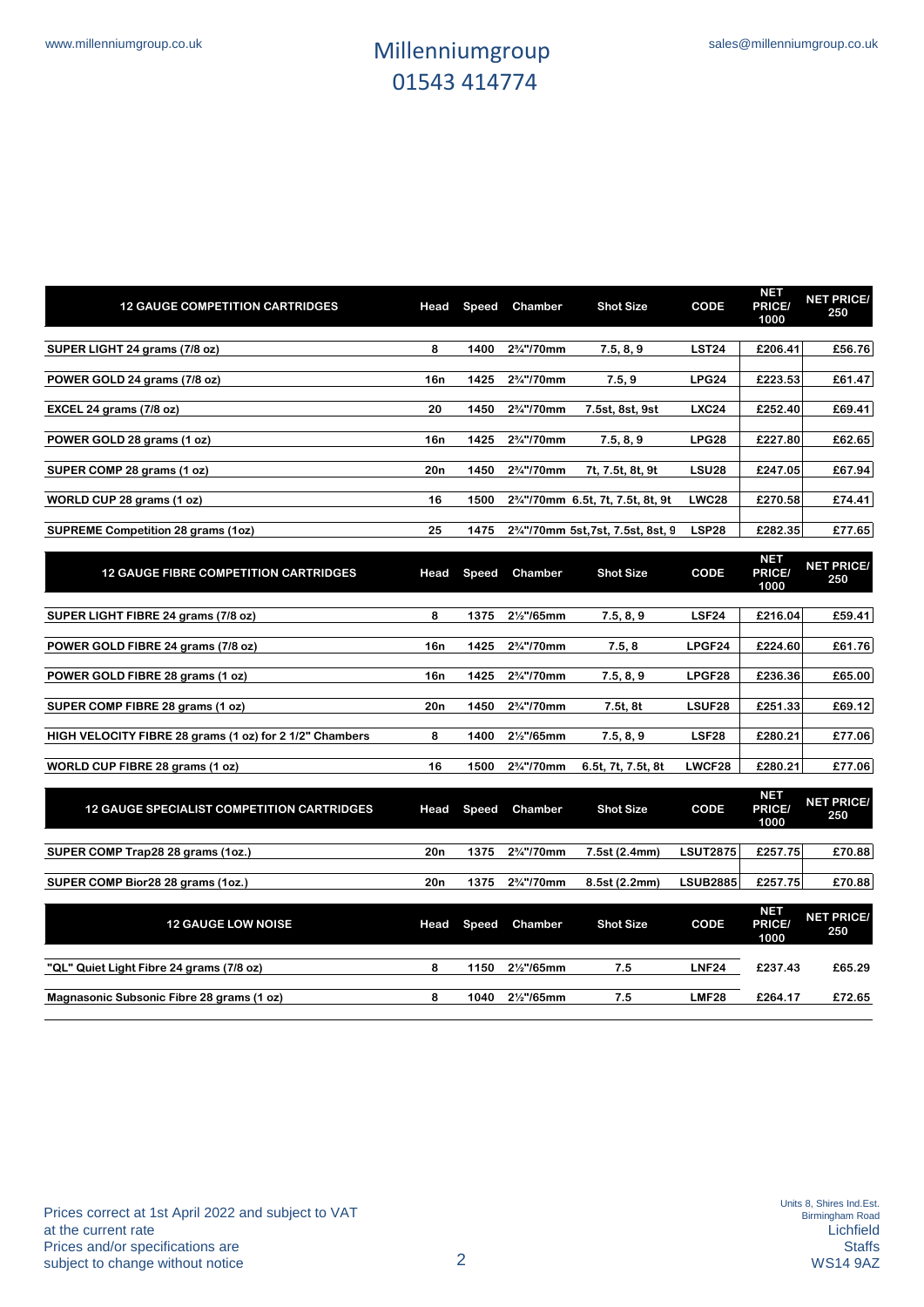**NET** 

| <b>12 GAUGE COMPETITION CARTRIDGES</b>    | Head            | <b>Speed</b> | Chamber                              | <b>Shot Size</b>                                             | <b>CODE</b>       | NET<br><b>PRICE/</b><br>1000 | <b>NET PRICE/</b><br>250 |
|-------------------------------------------|-----------------|--------------|--------------------------------------|--------------------------------------------------------------|-------------------|------------------------------|--------------------------|
| SUPER LIGHT 24 grams (7/8 oz)             | 8               | 1400         | 2 <sup>3</sup> / <sub>4</sub> "/70mm | 7.5, 8, 9                                                    | LST <sub>24</sub> | £206.41                      | £56.76                   |
| POWER GOLD 24 grams (7/8 oz)              | 16n             | 1425         | 2 <sup>3</sup> / <sub>4</sub> "/70mm | 7.5, 9                                                       | LPG24             | £223.53                      | £61.47                   |
| EXCEL 24 grams (7/8 oz)                   | 20              | 1450         | 2 <sup>3</sup> / <sub>4</sub> "/70mm | 7.5st, 8st, 9st                                              | <b>LXC24</b>      | £252.40                      | £69.41                   |
| POWER GOLD 28 grams (1 oz)                | 16n             | 1425         | $2\frac{3}{4}$ "/70mm                | 7.5, 8, 9                                                    | LPG28             | £227.80                      | £62.65                   |
| SUPER COMP 28 grams (1 oz)                | 20 <sub>n</sub> | 1450         | $2\frac{3}{4}$ "/70mm                | 7t, 7.5t, 8t, 9t                                             | LSU <sub>28</sub> | £247.05                      | £67.94                   |
| WORLD CUP 28 grams (1 oz)                 | 16              | 1500         |                                      | 2 <sup>3</sup> / <sub>4</sub> "/70mm 6.5t, 7t, 7.5t, 8t, 9t  | <b>LWC28</b>      | £270.58                      | £74.41                   |
| <b>SUPREME Competition 28 grams (1oz)</b> | 25              | 1475         |                                      | 2 <sup>3</sup> / <sub>4</sub> "/70mm 5st, 7st, 7.5st, 8st, 9 | LSP <sub>28</sub> | £282.35                      | £77.65                   |

| <b>12 GAUGE FIBRE COMPETITION CARTRIDGES</b>            | Head | Speed | Chamber                              | <b>Shot Size</b>   | CODE            | <b>NET</b><br>PRICE/<br>1000 | <b>NET PRICE/</b><br>250 |
|---------------------------------------------------------|------|-------|--------------------------------------|--------------------|-----------------|------------------------------|--------------------------|
|                                                         |      |       |                                      |                    |                 |                              |                          |
| SUPER LIGHT FIBRE 24 grams (7/8 oz)                     | 8    | 1375  | 21/ <sub>2</sub> "/65mm              | 7.5, 8, 9          | <b>LSF24</b>    | £216.04                      | £59.41                   |
| POWER GOLD FIBRE 24 grams (7/8 oz)                      | 16n  | 1425  | 2%"/70mm                             | 7.5, 8             | LPGF24          | £224.60                      | £61.76                   |
| POWER GOLD FIBRE 28 grams (1 oz)                        | 16n  | 1425  | 2%"/70mm                             | 7.5, 8, 9          | LPGF28          | £236.36                      | £65.00                   |
| SUPER COMP FIBRE 28 grams (1 oz)                        | 20n  | 1450  | 2%"/70mm                             | 7.5t, 8t           | LSUF28          | £251.33                      | £69.12                   |
| HIGH VELOCITY FIBRE 28 grams (1 oz) for 2 1/2" Chambers | 8    | 1400  | 21/ <sub>2</sub> "/65mm              | 7.5, 8, 9          | <b>LSF28</b>    | £280.21                      | £77.06                   |
| WORLD CUP FIBRE 28 grams (1 oz)                         | 16   | 1500  | 2%"/70mm                             | 6.5t, 7t, 7.5t, 8t | LWCF28          | £280.21                      | £77.06                   |
| <b>12 GAUGE SPECIALIST COMPETITION CARTRIDGES</b>       | Head | Speed | Chamber                              | <b>Shot Size</b>   | CODE            | <b>NET</b><br>PRICE/<br>1000 | <b>NET PRICE/</b><br>250 |
| SUPER COMP Trap28 28 grams (1oz.)                       | 20n  | 1375  | 2%"/70mm                             | 7.5st (2.4mm)      | <b>LSUT2875</b> | £257.75                      | £70.88                   |
| SUPER COMP Bior28 28 grams (1oz.)                       | 20n  | 1375  | 2 <sup>3</sup> / <sub>4</sub> "/70mm | 8.5st (2.2mm)      | <b>LSUB2885</b> | £257.75                      | £70.88                   |
| <b>12 GAUGE LOW NOISE</b>                               | Head | Speed | Chamber                              | <b>Shot Size</b>   | CODE            | <b>NET</b><br>PRICE/<br>1000 | <b>NET PRICE/</b><br>250 |
| "QL" Quiet Light Fibre 24 grams (7/8 oz)                | 8    | 1150  | 21/ <sub>2</sub> "/65mm              | 7.5                | <b>LNF24</b>    | £237.43                      | £65.29                   |
| Magnasonic Subsonic Fibre 28 grams (1 oz)               | 8    | 1040  | 21/ <sub>2</sub> "/65mm              | 7.5                | <b>LMF28</b>    | £264.17                      | £72.65                   |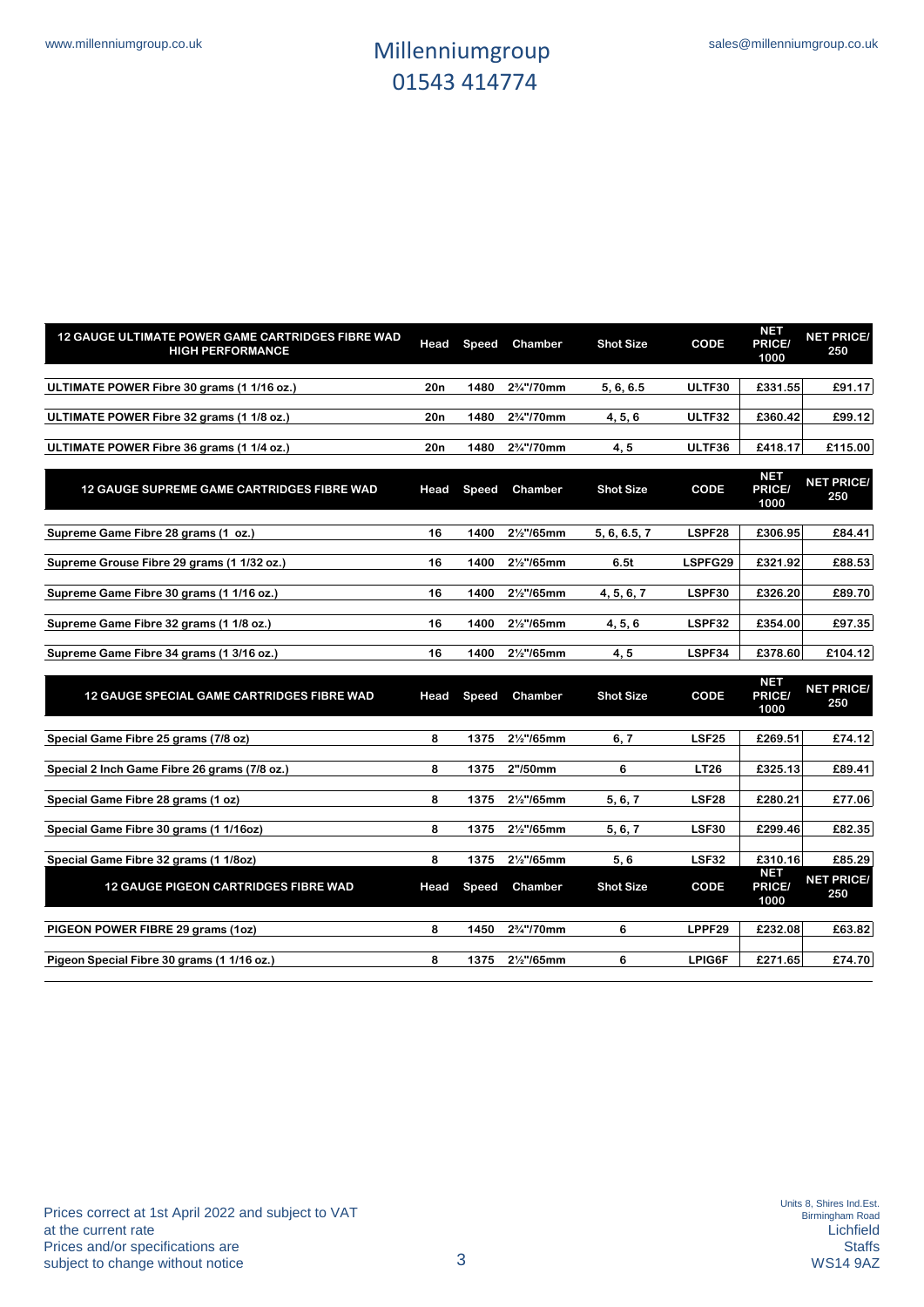| 12 GAUGE ULTIMATE POWER GAME CARTRIDGES FIBRE WAD<br><b>HIGH PERFORMANCE</b> | Head            | Speed        | Chamber                 | <b>Shot Size</b> | CODE         | <b>NET</b><br>PRICE/<br>1000 | <b>NET PRICE/</b><br>250 |
|------------------------------------------------------------------------------|-----------------|--------------|-------------------------|------------------|--------------|------------------------------|--------------------------|
| ULTIMATE POWER Fibre 30 grams (1 1/16 oz.)                                   | 20n             | 1480         | 2%"/70mm                | 5, 6, 6.5        | ULTF30       | £331.55                      | £91.17                   |
| ULTIMATE POWER Fibre 32 grams (1 1/8 oz.)                                    | 20 <sub>n</sub> | 1480         | 2%"/70mm                | 4, 5, 6          | ULTF32       | £360.42                      | £99.12                   |
| ULTIMATE POWER Fibre 36 grams (1 1/4 oz.)                                    | 20n             | 1480         | 2%"/70mm                | 4, 5             | ULTF36       | £418.17                      | £115.00                  |
| <b>12 GAUGE SUPREME GAME CARTRIDGES FIBRE WAD</b>                            | Head            | Speed        | Chamber                 | <b>Shot Size</b> | CODE         | <b>NET</b><br>PRICE/<br>1000 | <b>NET PRICE/</b><br>250 |
| Supreme Game Fibre 28 grams (1 oz.)                                          | 16              | 1400         | 21/ <sub>2</sub> "/65mm | 5, 6, 6.5, 7     | LSPF28       | £306.95                      | £84.41                   |
| Supreme Grouse Fibre 29 grams (1 1/32 oz.)                                   | 16              | 1400         | 21/ <sub>2</sub> "/65mm | 6.5t             | LSPFG29      | £321.92                      | £88.53                   |
| Supreme Game Fibre 30 grams (1 1/16 oz.)                                     | 16              | 1400         | 21/ <sub>2</sub> "/65mm | 4, 5, 6, 7       | LSPF30       | £326.20                      | £89.70                   |
| Supreme Game Fibre 32 grams (1 1/8 oz.)                                      | 16              | 1400         | 21/ <sub>2</sub> "/65mm | 4, 5, 6          | LSPF32       | £354.00                      | £97.35                   |
| Supreme Game Fibre 34 grams (1 3/16 oz.)                                     | 16              | 1400         | 21/ <sub>2</sub> "/65mm | 4,5              | LSPF34       | £378.60                      | £104.12                  |
| <b>12 GAUGE SPECIAL GAME CARTRIDGES FIBRE WAD</b>                            | Head            | <b>Speed</b> | Chamber                 | <b>Shot Size</b> | CODE         | <b>NET</b><br>PRICE/<br>1000 | <b>NET PRICE/</b><br>250 |
| Special Game Fibre 25 grams (7/8 oz)                                         | 8               | 1375         | 21/ <sub>2</sub> "/65mm | 6.7              | <b>LSF25</b> | £269.51                      | £74.12                   |
| Special 2 Inch Game Fibre 26 grams (7/8 oz.)                                 | 8               | 1375         | 2"/50mm                 | 6                | <b>LT26</b>  | £325.13                      | £89.41                   |
| Special Game Fibre 28 grams (1 oz)                                           | 8               | 1375         | 21/ <sub>2</sub> "/65mm | 5, 6, 7          | <b>LSF28</b> | £280.21                      | £77.06                   |
| Special Game Fibre 30 grams (1 1/16oz)                                       | 8               | 1375         | 21/ <sub>2</sub> "/65mm | 5, 6, 7          | <b>LSF30</b> | £299.46                      | £82.35                   |
| Special Game Fibre 32 grams (1 1/8oz)                                        | 8               | 1375         | 21/ <sub>2</sub> "/65mm | 5,6              | <b>LSF32</b> | £310.16                      | £85.29                   |
| <b>12 GAUGE PIGEON CARTRIDGES FIBRE WAD</b>                                  | Head            | Speed        | Chamber                 | <b>Shot Size</b> | CODE         | <b>NET</b><br>PRICE/<br>1000 | <b>NET PRICE/</b><br>250 |
| PIGEON POWER FIBRE 29 grams (1oz)                                            | 8               | 1450         | 2%"/70mm                | 6                | LPPF29       | £232.08                      | £63.82                   |
| Pigeon Special Fibre 30 grams (1 1/16 oz.)                                   | 8               | 1375         | 21/ <sub>2</sub> "/65mm | 6                | LPIG6F       | £271.65                      | £74.70                   |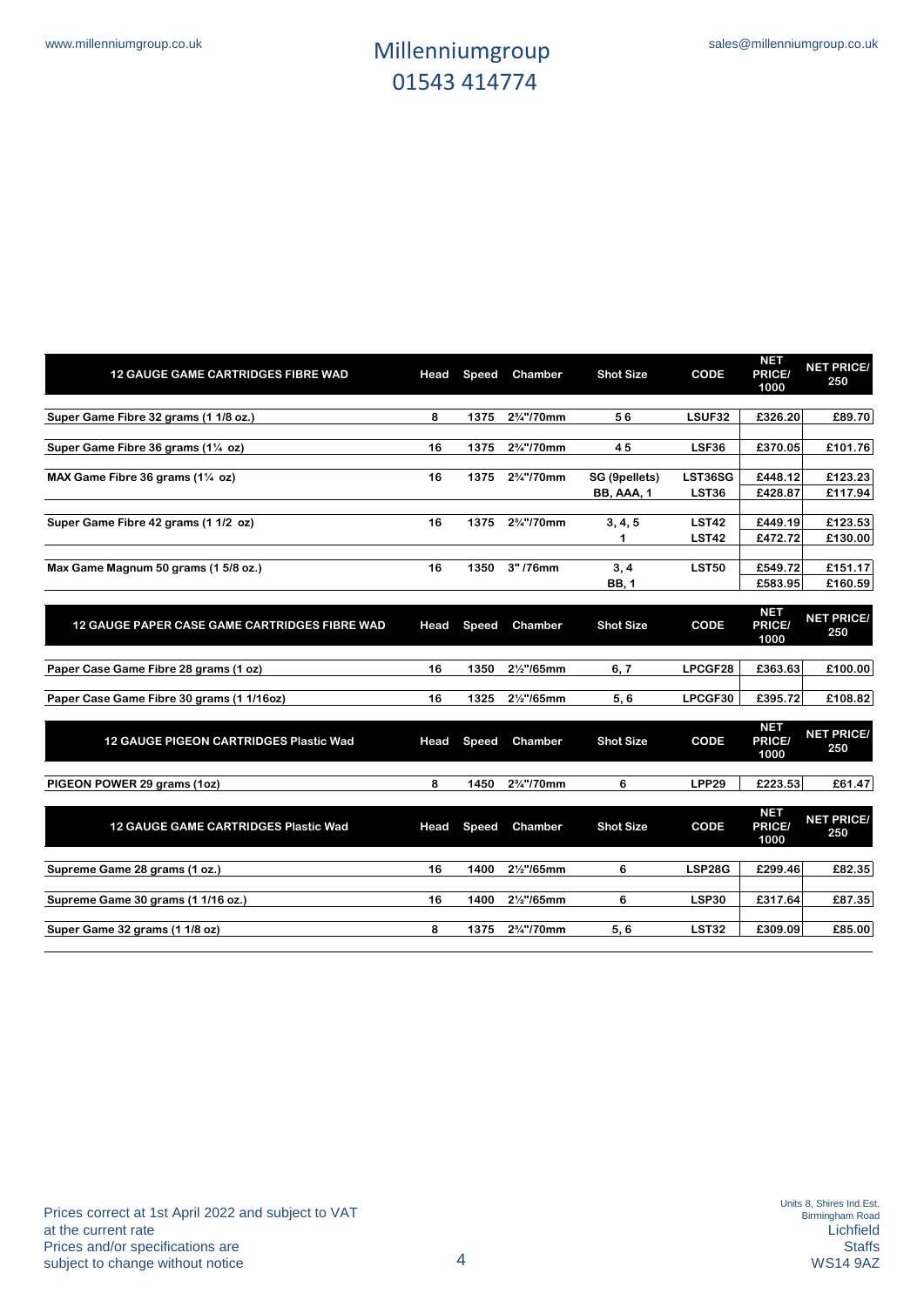| <b>12 GAUGE GAME CARTRIDGES FIBRE WAD</b>     | Head | <b>Speed</b> | Chamber                              | <b>Shot Size</b>            | <b>CODE</b>             | <b>NET</b><br>PRICE/<br>1000 | <b>NET PRICE/</b><br>250 |
|-----------------------------------------------|------|--------------|--------------------------------------|-----------------------------|-------------------------|------------------------------|--------------------------|
| Super Game Fibre 32 grams (1 1/8 oz.)         | 8    | 1375         | 2%"/70mm                             | 56                          | LSUF32                  | £326.20                      | £89.70                   |
| Super Game Fibre 36 grams (11/4 oz)           | 16   | 1375         | 2%"/70mm                             | 45                          | LSF36                   | £370.05                      | £101.76                  |
| MAX Game Fibre 36 grams (11/4 oz)             | 16   | 1375         | 2%"/70mm                             | SG (9pellets)<br>BB, AAA, 1 | LST36SG<br><b>LST36</b> | £448.12<br>£428.87           | £123.23<br>£117.94       |
| Super Game Fibre 42 grams (1 1/2 oz)          | 16   | 1375         | 2 <sup>3</sup> / <sub>4</sub> "/70mm | 3, 4, 5                     | <b>LST42</b>            | £449.19                      | £123.53                  |
|                                               |      |              |                                      |                             | <b>LST42</b>            | £472.72                      | £130.00                  |
| Max Game Magnum 50 grams (1 5/8 oz.)          | 16   | 1350         | 3"/76mm                              | 3, 4<br><b>BB, 1</b>        | <b>LST50</b>            | £549.72<br>£583.95           | £151.17<br>£160.59       |
| 12 GAUGE PAPER CASE GAME CARTRIDGES FIBRE WAD | Head | Speed        | Chamber                              | <b>Shot Size</b>            | CODE                    | <b>NET</b><br>PRICE/<br>1000 | <b>NET PRICE/</b><br>250 |
| Paper Case Game Fibre 28 grams (1 oz)         | 16   | 1350         | 21/ <sub>2</sub> "/65mm              | 6, 7                        | LPCGF28                 | £363.63                      | £100.00                  |
| Paper Case Game Fibre 30 grams (1 1/16oz)     | 16   | 1325         | 21/ <sub>2</sub> "/65mm              | 5,6                         | LPCGF30                 | £395.72                      | £108.82                  |
| <b>12 GAUGE PIGEON CARTRIDGES Plastic Wad</b> | Head | <b>Speed</b> | Chamber                              | <b>Shot Size</b>            | CODE                    | <b>NET</b><br>PRICE/<br>1000 | <b>NET PRICE/</b><br>250 |
| PIGEON POWER 29 grams (1oz)                   | 8    | 1450         | 2%"/70mm                             | 6                           | <b>LPP29</b>            | £223.53                      | £61.47                   |
| <b>12 GAUGE GAME CARTRIDGES Plastic Wad</b>   | Head | Speed        | Chamber                              | <b>Shot Size</b>            | CODE                    | <b>NET</b><br>PRICE/<br>1000 | <b>NET PRICE/</b><br>250 |
| Supreme Game 28 grams (1 oz.)                 | 16   | 1400         | 21/ <sub>2</sub> "/65mm              | 6                           | <b>LSP28G</b>           | £299.46                      | £82.35                   |
| Supreme Game 30 grams (1 1/16 oz.)            | 16   | 1400         | 21/ <sub>2</sub> "/65mm              | 6                           | <b>LSP30</b>            | £317.64                      | £87.35                   |
| Super Game 32 grams (1 1/8 oz)                | 8    | 1375         | 2%"/70mm                             | 5,6                         | <b>LST32</b>            | £309.09                      | £85.00                   |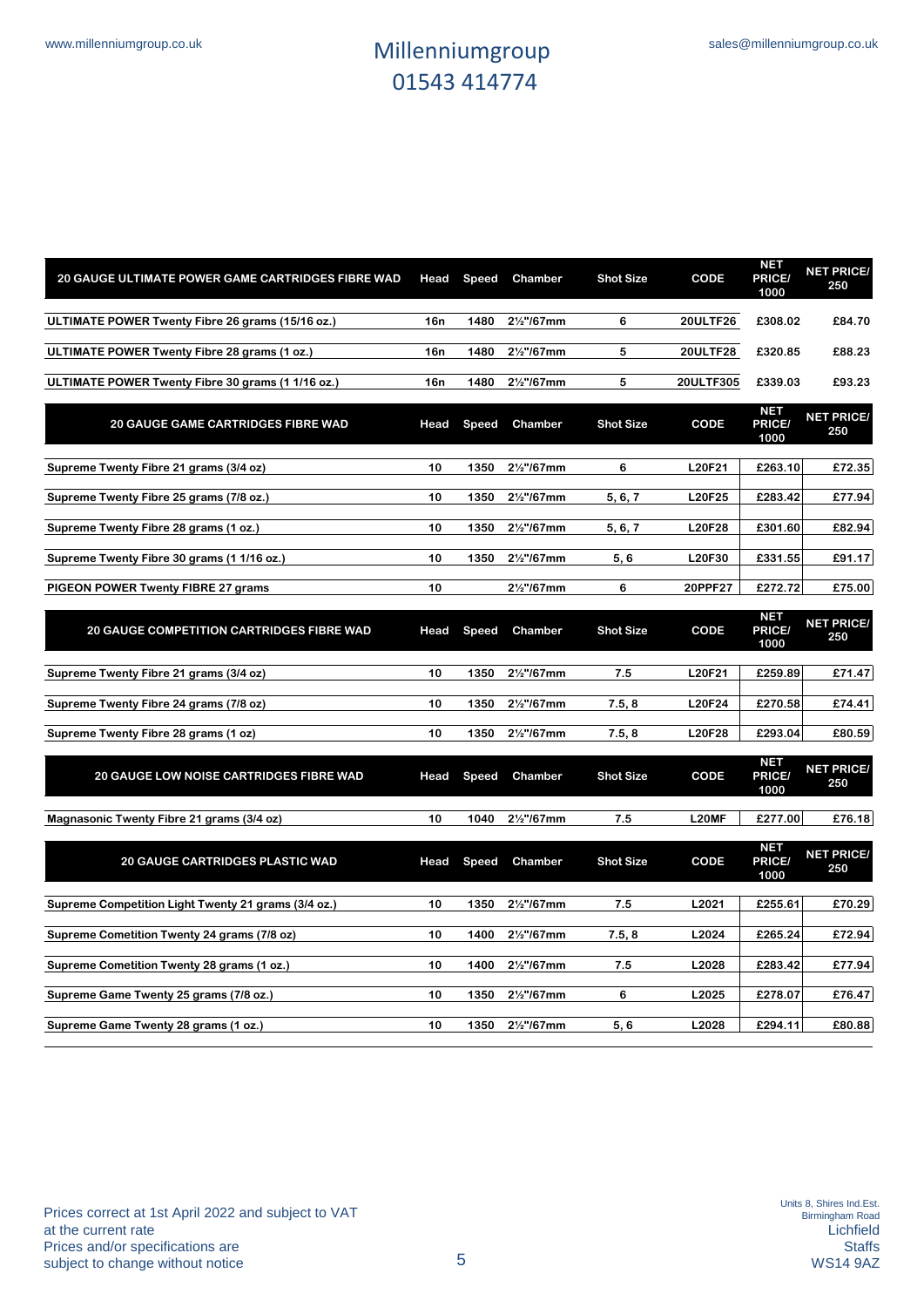| 20 GAUGE ULTIMATE POWER GAME CARTRIDGES FIBRE WAD   | Head | Speed        | Chamber                 | <b>Shot Size</b> | CODE            | <b>NET</b><br>PRICE/<br>1000 | <b>NET PRICE/</b><br>250 |
|-----------------------------------------------------|------|--------------|-------------------------|------------------|-----------------|------------------------------|--------------------------|
| ULTIMATE POWER Twenty Fibre 26 grams (15/16 oz.)    | 16n  | 1480         | 21/ <sub>2</sub> "/67mm | 6                | <b>20ULTF26</b> | £308.02                      | £84.70                   |
| ULTIMATE POWER Twenty Fibre 28 grams (1 oz.)        | 16n  | 1480         | 21/ <sub>2</sub> "/67mm | 5                | 20ULTF28        | £320.85                      | £88.23                   |
| ULTIMATE POWER Twenty Fibre 30 grams (1 1/16 oz.)   | 16n  | 1480         | 21/ <sub>2</sub> "/67mm | 5                | 20ULTF305       | £339.03                      | £93.23                   |
| <b>20 GAUGE GAME CARTRIDGES FIBRE WAD</b>           | Head | Speed        | Chamber                 | <b>Shot Size</b> | CODE            | <b>NET</b><br>PRICE/<br>1000 | <b>NET PRICE/</b><br>250 |
| Supreme Twenty Fibre 21 grams (3/4 oz)              | 10   | 1350         | 21/ <sub>2</sub> "/67mm | 6                | <b>L20F21</b>   | £263.10                      | £72.35                   |
| Supreme Twenty Fibre 25 grams (7/8 oz.)             | 10   | 1350         | 21/ <sub>2</sub> "/67mm | 5, 6, 7          | <b>L20F25</b>   | £283.42                      | £77.94                   |
| Supreme Twenty Fibre 28 grams (1 oz.)               | 10   | 1350         | 21/ <sub>2</sub> "/67mm | 5, 6, 7          | <b>L20F28</b>   | £301.60                      | £82.94                   |
| Supreme Twenty Fibre 30 grams (1 1/16 oz.)          | 10   | 1350         | 21/ <sub>2</sub> "/67mm | 5,6              | L20F30          | £331.55                      | £91.17                   |
| PIGEON POWER Twenty FIBRE 27 grams                  | 10   |              | 21/ <sub>2</sub> "/67mm | 6                | 20PPF27         | £272.72                      | £75.00                   |
| <b>20 GAUGE COMPETITION CARTRIDGES FIBRE WAD</b>    | Head | <b>Speed</b> | Chamber                 | <b>Shot Size</b> | CODE            | <b>NET</b><br>PRICE/<br>1000 | <b>NET PRICE/</b><br>250 |
| Supreme Twenty Fibre 21 grams (3/4 oz)              | 10   | 1350         | 21/ <sub>2</sub> "/67mm | 7.5              | L20F21          | £259.89                      | £71.47                   |
| Supreme Twenty Fibre 24 grams (7/8 oz)              | 10   | 1350         | 21/ <sub>2</sub> "/67mm | 7.5, 8           | L20F24          | £270.58                      | £74.41                   |
| Supreme Twenty Fibre 28 grams (1 oz)                | 10   | 1350         | 21/ <sub>2</sub> "/67mm | 7.5, 8           | <b>L20F28</b>   | £293.04                      | £80.59                   |
| <b>20 GAUGE LOW NOISE CARTRIDGES FIBRE WAD</b>      | Head | <b>Speed</b> | Chamber                 | <b>Shot Size</b> | CODE            | <b>NET</b><br>PRICE/<br>1000 | <b>NET PRICE/</b><br>250 |
| Magnasonic Twenty Fibre 21 grams (3/4 oz)           | 10   | 1040         | 21/ <sub>2</sub> "/67mm | 7.5              | L20MF           | £277.00                      | £76.18                   |
| <b>20 GAUGE CARTRIDGES PLASTIC WAD</b>              | Head | Speed        | Chamber                 | <b>Shot Size</b> | CODE            | <b>NET</b><br>PRICE/<br>1000 | <b>NET PRICE/</b><br>250 |
| Supreme Competition Light Twenty 21 grams (3/4 oz.) | 10   | 1350         | 21/ <sub>2</sub> "/67mm | 7.5              | L2021           | £255.61                      | £70.29                   |
| Supreme Cometition Twenty 24 grams (7/8 oz)         | 10   | 1400         | 21/ <sub>2</sub> "/67mm | 7.5, 8           | L2024           | £265.24                      | £72.94                   |
| Supreme Cometition Twenty 28 grams (1 oz.)          | 10   | 1400         | 21/ <sub>2</sub> "/67mm | 7.5              | L2028           | £283.42                      | £77.94                   |
| Supreme Game Twenty 25 grams (7/8 oz.)              | 10   | 1350         | 21/ <sub>2</sub> "/67mm | 6                | L2025           | £278.07                      | £76.47                   |
| Supreme Game Twenty 28 grams (1 oz.)                | 10   | 1350         | 2 <sup>1/2"</sup> /67mm | 5,6              | L2028           | £294.11                      | £80.88                   |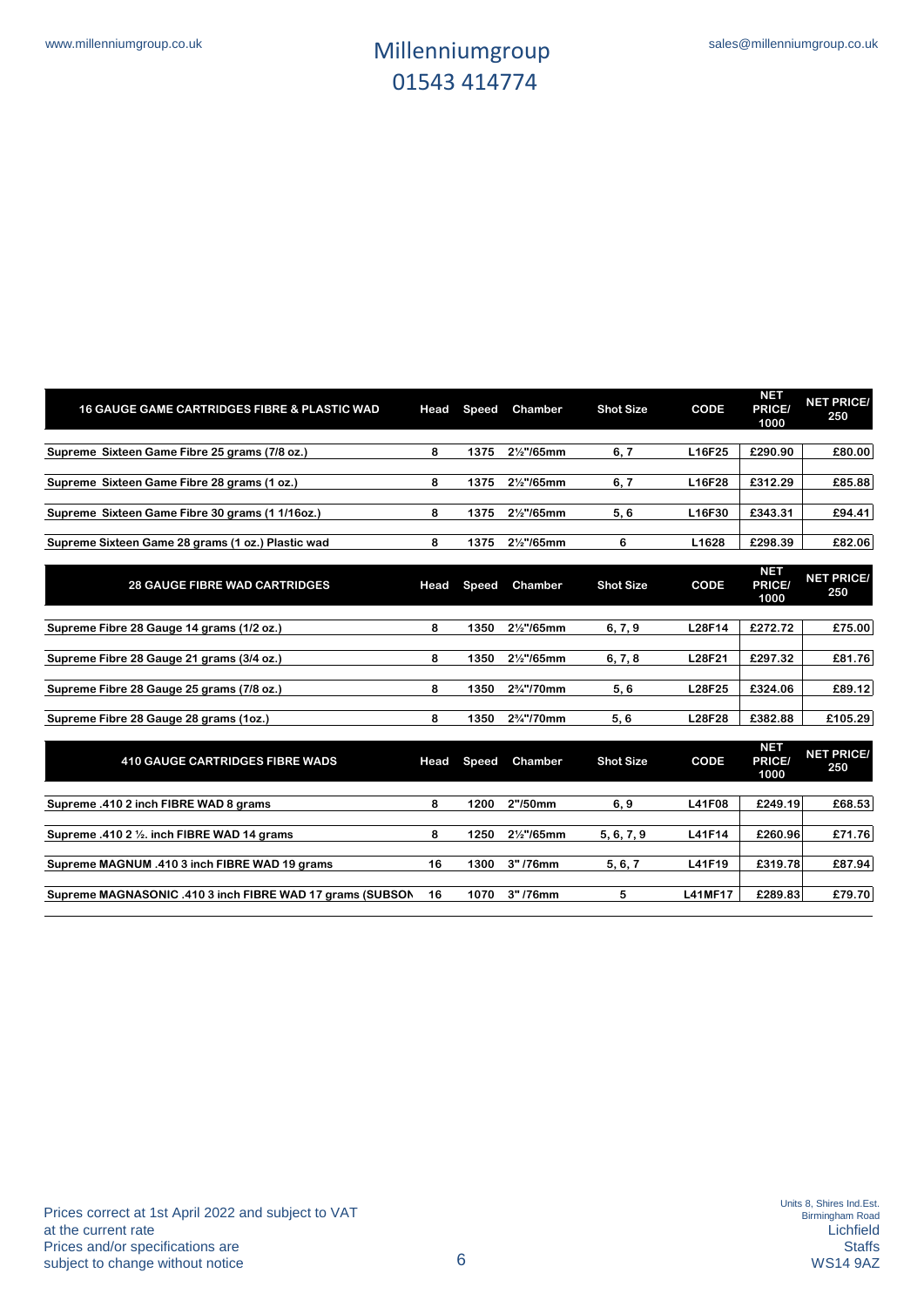| <b>16 GAUGE GAME CARTRIDGES FIBRE &amp; PLASTIC WAD</b>   | Head | Speed        | Chamber                 | <b>Shot Size</b> | CODE           | <b>NET</b><br><b>PRICE</b><br>1000  | <b>NET PRICE/</b><br>250 |
|-----------------------------------------------------------|------|--------------|-------------------------|------------------|----------------|-------------------------------------|--------------------------|
| Supreme Sixteen Game Fibre 25 grams (7/8 oz.)             | 8    | 1375         | 21/ <sub>2</sub> "/65mm | 6, 7             | L16F25         | £290.90                             | £80.00                   |
| Supreme Sixteen Game Fibre 28 grams (1 oz.)               | 8    | 1375         | 21/ <sub>2</sub> "/65mm | 6, 7             | L16F28         | £312.29                             | £85.88                   |
| Supreme Sixteen Game Fibre 30 grams (1 1/16oz.)           | 8    | 1375         | 21/ <sub>2</sub> "/65mm | 5,6              | L16F30         | £343.31                             | £94.41                   |
| Supreme Sixteen Game 28 grams (1 oz.) Plastic wad         | 8    | 1375         | 21/ <sub>2</sub> "/65mm | 6                | L1628          | £298.39                             | £82.06                   |
| <b>28 GAUGE FIBRE WAD CARTRIDGES</b>                      | Head | Speed        | Chamber                 | <b>Shot Size</b> | CODE           | <b>NET</b><br>PRICE/<br>1000        | <b>NET PRICE/</b><br>250 |
| Supreme Fibre 28 Gauge 14 grams (1/2 oz.)                 | 8    | 1350         | 21/ <sub>2</sub> "/65mm | 6, 7, 9          | <b>L28F14</b>  | £272.72                             | £75.00                   |
| Supreme Fibre 28 Gauge 21 grams (3/4 oz.)                 | 8    | 1350         | 21/ <sub>2</sub> "/65mm | 6, 7, 8          | L28F21         | £297.32                             | £81.76                   |
| Supreme Fibre 28 Gauge 25 grams (7/8 oz.)                 | 8    | 1350         | 2%"/70mm                | 5,6              | <b>L28F25</b>  | £324.06                             | £89.12                   |
| Supreme Fibre 28 Gauge 28 grams (1oz.)                    | 8    | 1350         | 2%"/70mm                | 5,6              | <b>L28F28</b>  | £382.88                             | £105.29                  |
| <b>410 GAUGE CARTRIDGES FIBRE WADS</b>                    | Head | <b>Speed</b> | Chamber                 | <b>Shot Size</b> | CODE           | <b>NET</b><br><b>PRICE/</b><br>1000 | <b>NET PRICE/</b><br>250 |
| Supreme .410 2 inch FIBRE WAD 8 grams                     | 8    | 1200         | 2"/50mm                 | 6, 9             | L41F08         | £249.19                             | £68.53                   |
| Supreme .410 2 1/2. inch FIBRE WAD 14 grams               | 8    | 1250         | 21/ <sub>2</sub> "/65mm | 5, 6, 7, 9       | L41F14         | £260.96                             | £71.76                   |
| Supreme MAGNUM .410 3 inch FIBRE WAD 19 grams             | 16   | 1300         | 3"/76mm                 | 5, 6, 7          | L41F19         | £319.78                             | £87.94                   |
| Supreme MAGNASONIC .410 3 inch FIBRE WAD 17 grams (SUBSON | 16   | 1070         | 3"/76mm                 | 5                | <b>L41MF17</b> | £289.83                             | £79.70                   |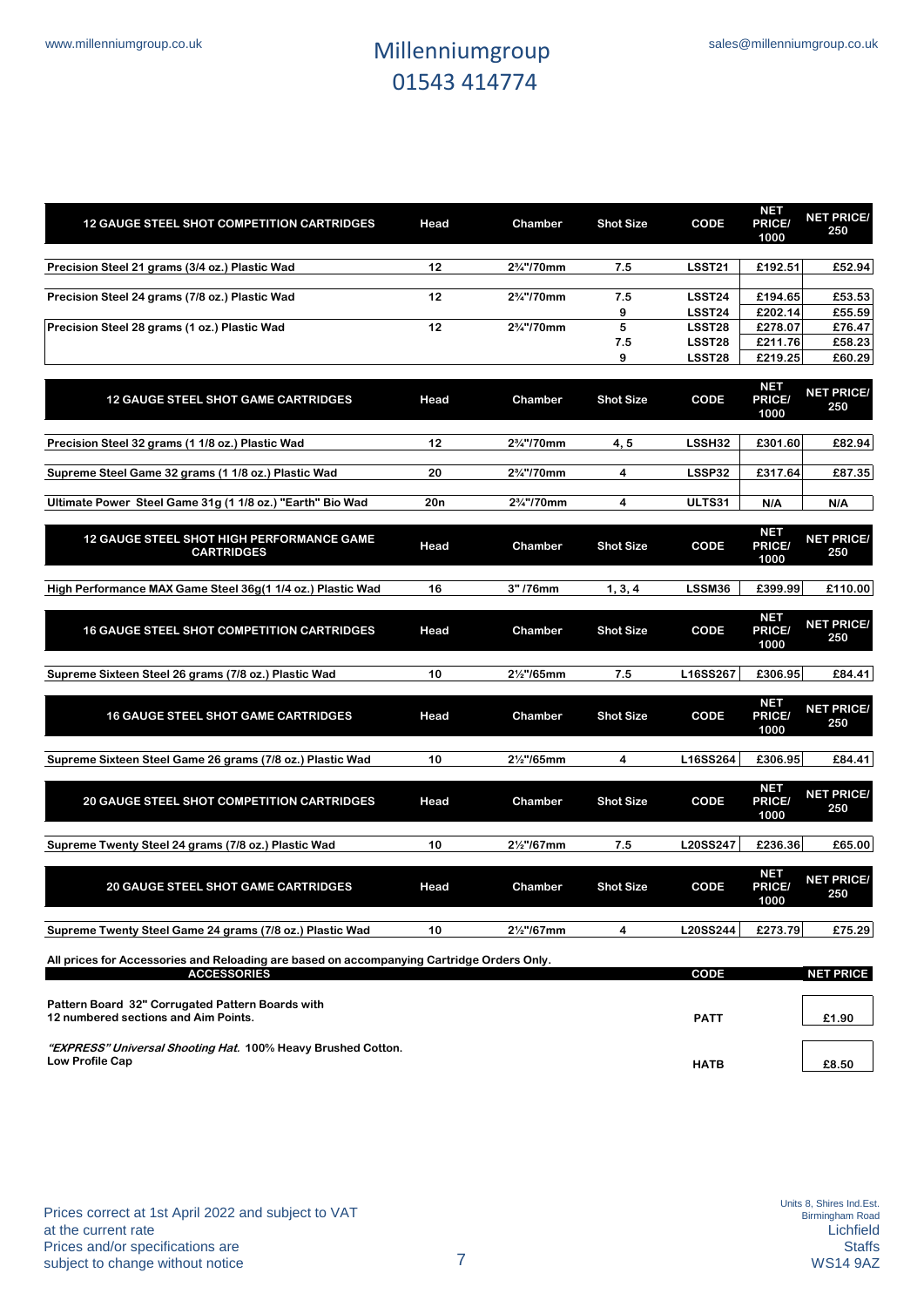| <b>12 GAUGE STEEL SHOT COMPETITION CARTRIDGES</b>                                                               | Head | Chamber                 | <b>Shot Size</b> | CODE               | <b>NET</b><br><b>PRICE/</b><br>1000 | <b>NET PRICE/</b><br>250 |
|-----------------------------------------------------------------------------------------------------------------|------|-------------------------|------------------|--------------------|-------------------------------------|--------------------------|
| Precision Steel 21 grams (3/4 oz.) Plastic Wad                                                                  | 12   | 2%"/70mm                | 7.5              | <b>LSST21</b>      | £192.51                             | £52.94                   |
| Precision Steel 24 grams (7/8 oz.) Plastic Wad                                                                  | 12   | 2%"/70mm                | 7.5              | LSST <sub>24</sub> | £194.65                             | £53.53                   |
| Precision Steel 28 grams (1 oz.) Plastic Wad                                                                    | 12   | 2%"/70mm                | 9<br>5           | LSST24<br>LSST28   | £202.14<br>£278.07                  | £55.59<br>£76.47         |
|                                                                                                                 |      |                         | 7.5<br>9         | LSST28<br>LSST28   | £211.76<br>£219.25                  | £58.23<br>£60.29         |
| <b>12 GAUGE STEEL SHOT GAME CARTRIDGES</b>                                                                      | Head | Chamber                 | <b>Shot Size</b> | CODE               | <b>NET</b><br>PRICE/<br>1000        | <b>NET PRICE/</b><br>250 |
| Precision Steel 32 grams (1 1/8 oz.) Plastic Wad                                                                | 12   | 2%"/70mm                | 4, 5             | LSSH32             | £301.60                             | £82.94                   |
| Supreme Steel Game 32 grams (1 1/8 oz.) Plastic Wad                                                             | 20   | 2%"/70mm                | $\overline{4}$   | LSSP32             | £317.64                             | £87.35                   |
| Ultimate Power Steel Game 31g (1 1/8 oz.) "Earth" Bio Wad                                                       | 20n  | 2%"/70mm                | 4                | ULTS31             | N/A                                 | N/A                      |
| 12 GAUGE STEEL SHOT HIGH PERFORMANCE GAME<br><b>CARTRIDGES</b>                                                  | Head | Chamber                 | <b>Shot Size</b> | CODE               | <b>NET</b><br>PRICE/<br>1000        | <b>NET PRICE/</b><br>250 |
| High Performance MAX Game Steel 36g(1 1/4 oz.) Plastic Wad                                                      | 16   | 3"/76mm                 | 1, 3, 4          | LSSM36             | £399.99                             | £110.00                  |
| <b>16 GAUGE STEEL SHOT COMPETITION CARTRIDGES</b>                                                               | Head | Chamber                 | <b>Shot Size</b> | CODE               | <b>NET</b><br>PRICE/<br>1000        | <b>NET PRICE/</b><br>250 |
| Supreme Sixteen Steel 26 grams (7/8 oz.) Plastic Wad                                                            | 10   | 21/ <sub>2</sub> "/65mm | 7.5              | L16SS267           | £306.95                             | £84.41                   |
| <b>16 GAUGE STEEL SHOT GAME CARTRIDGES</b>                                                                      | Head | Chamber                 | <b>Shot Size</b> | CODE               | <b>NET</b><br>PRICE/<br>1000        | <b>NET PRICE/</b><br>250 |
| Supreme Sixteen Steel Game 26 grams (7/8 oz.) Plastic Wad                                                       | 10   | 21/ <sub>2</sub> "/65mm | 4                | L16SS264           | £306.95                             | £84.41                   |
| <b>20 GAUGE STEEL SHOT COMPETITION CARTRIDGES</b>                                                               | Head | Chamber                 | <b>Shot Size</b> | CODE               | <b>NET</b><br>PRICE/<br>1000        | <b>NET PRICE/</b><br>250 |
| Supreme Twenty Steel 24 grams (7/8 oz.) Plastic Wad                                                             | 10   | 21/ <sub>2</sub> "/67mm | 7.5              | L20SS247           | £236.36                             | £65.00                   |
| <b>20 GAUGE STEEL SHOT GAME CARTRIDGES</b>                                                                      | Head | Chamber                 | <b>Shot Size</b> | CODE               | <b>NET</b><br>PRICE/<br>1000        | <b>NET PRICE/</b><br>250 |
| Supreme Twenty Steel Game 24 grams (7/8 oz.) Plastic Wad                                                        | 10   | 21/ <sub>2</sub> "/67mm | 4                | L20SS244           | £273.79                             | £75.29                   |
| All prices for Accessories and Reloading are based on accompanying Cartridge Orders Only.<br><b>ACCESSORIES</b> |      |                         |                  | CODE               |                                     | <b>NET PRICE</b>         |
| Pattern Board 32" Corrugated Pattern Boards with                                                                |      |                         |                  |                    |                                     |                          |

**12 numbered sections and Aim Points. PATT £1.90**

**"EXPRESS" Universal Shooting Hat. 100% Heavy Brushed Cotton. Low Profile Cap HATB £8.50**

Prices correct at 1st April 2022 and subject to VAT at the current rate Prices and/or specifications are subject to change without notice 7